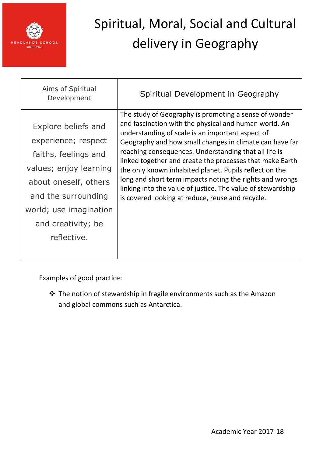

| Aims of Spiritual<br>Development                                                                                                                                                                            | Spiritual Development in Geography                                                                                                                                                                                                                                                                                                                                                                                                                                                                                                                                                          |
|-------------------------------------------------------------------------------------------------------------------------------------------------------------------------------------------------------------|---------------------------------------------------------------------------------------------------------------------------------------------------------------------------------------------------------------------------------------------------------------------------------------------------------------------------------------------------------------------------------------------------------------------------------------------------------------------------------------------------------------------------------------------------------------------------------------------|
| Explore beliefs and<br>experience; respect<br>faiths, feelings and<br>values; enjoy learning<br>about oneself, others<br>and the surrounding<br>world; use imagination<br>and creativity; be<br>reflective. | The study of Geography is promoting a sense of wonder<br>and fascination with the physical and human world. An<br>understanding of scale is an important aspect of<br>Geography and how small changes in climate can have far<br>reaching consequences. Understanding that all life is<br>linked together and create the processes that make Earth<br>the only known inhabited planet. Pupils reflect on the<br>long and short term impacts noting the rights and wrongs<br>linking into the value of justice. The value of stewardship<br>is covered looking at reduce, reuse and recycle. |
|                                                                                                                                                                                                             |                                                                                                                                                                                                                                                                                                                                                                                                                                                                                                                                                                                             |

Examples of good practice:

 The notion of stewardship in fragile environments such as the Amazon and global commons such as Antarctica.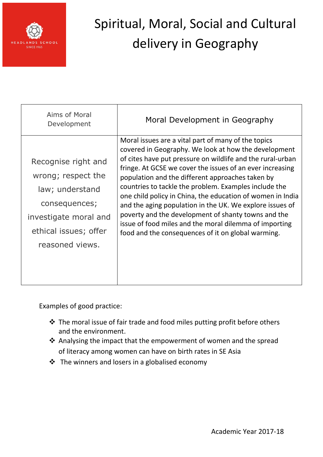

| Aims of Moral<br>Development                                                                                                                       | Moral Development in Geography                                                                                                                                                                                                                                                                                                                                                                                                                                                                                                                                                                                                                       |
|----------------------------------------------------------------------------------------------------------------------------------------------------|------------------------------------------------------------------------------------------------------------------------------------------------------------------------------------------------------------------------------------------------------------------------------------------------------------------------------------------------------------------------------------------------------------------------------------------------------------------------------------------------------------------------------------------------------------------------------------------------------------------------------------------------------|
| Recognise right and<br>wrong; respect the<br>law; understand<br>consequences;<br>investigate moral and<br>ethical issues; offer<br>reasoned views. | Moral issues are a vital part of many of the topics<br>covered in Geography. We look at how the development<br>of cites have put pressure on wildlife and the rural-urban<br>fringe. At GCSE we cover the issues of an ever increasing<br>population and the different approaches taken by<br>countries to tackle the problem. Examples include the<br>one child policy in China, the education of women in India<br>and the aging population in the UK. We explore issues of<br>poverty and the development of shanty towns and the<br>issue of food miles and the moral dilemma of importing<br>food and the consequences of it on global warming. |

Examples of good practice:

- The moral issue of fair trade and food miles putting profit before others and the environment.
- Analysing the impact that the empowerment of women and the spread of literacy among women can have on birth rates in SE Asia
- $\triangleq$  The winners and losers in a globalised economy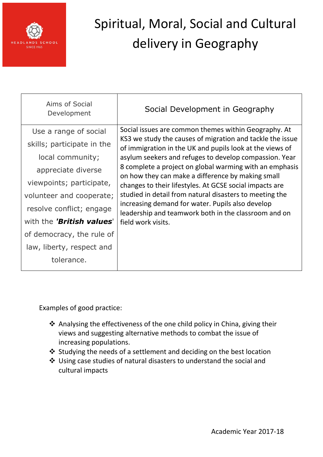

| Aims of Social<br>Development | Social Development in Geography                                                                                                                                                                                                                                                                                                                                                                                                                                                                                                                                                                                 |
|-------------------------------|-----------------------------------------------------------------------------------------------------------------------------------------------------------------------------------------------------------------------------------------------------------------------------------------------------------------------------------------------------------------------------------------------------------------------------------------------------------------------------------------------------------------------------------------------------------------------------------------------------------------|
| Use a range of social         | Social issues are common themes within Geography. At<br>KS3 we study the causes of migration and tackle the issue<br>of immigration in the UK and pupils look at the views of<br>asylum seekers and refuges to develop compassion. Year<br>8 complete a project on global warming with an emphasis<br>on how they can make a difference by making small<br>changes to their lifestyles. At GCSE social impacts are<br>studied in detail from natural disasters to meeting the<br>increasing demand for water. Pupils also develop<br>leadership and teamwork both in the classroom and on<br>field work visits. |
| skills; participate in the    |                                                                                                                                                                                                                                                                                                                                                                                                                                                                                                                                                                                                                 |
| local community;              |                                                                                                                                                                                                                                                                                                                                                                                                                                                                                                                                                                                                                 |
| appreciate diverse            |                                                                                                                                                                                                                                                                                                                                                                                                                                                                                                                                                                                                                 |
| viewpoints; participate,      |                                                                                                                                                                                                                                                                                                                                                                                                                                                                                                                                                                                                                 |
| volunteer and cooperate;      |                                                                                                                                                                                                                                                                                                                                                                                                                                                                                                                                                                                                                 |
| resolve conflict; engage      |                                                                                                                                                                                                                                                                                                                                                                                                                                                                                                                                                                                                                 |
| with the 'British values'     |                                                                                                                                                                                                                                                                                                                                                                                                                                                                                                                                                                                                                 |
| of democracy, the rule of     |                                                                                                                                                                                                                                                                                                                                                                                                                                                                                                                                                                                                                 |
| law, liberty, respect and     |                                                                                                                                                                                                                                                                                                                                                                                                                                                                                                                                                                                                                 |
| tolerance.                    |                                                                                                                                                                                                                                                                                                                                                                                                                                                                                                                                                                                                                 |

Examples of good practice:

- Analysing the effectiveness of the one child policy in China, giving their views and suggesting alternative methods to combat the issue of increasing populations.
- Studying the needs of a settlement and deciding on the best location
- Using case studies of natural disasters to understand the social and cultural impacts